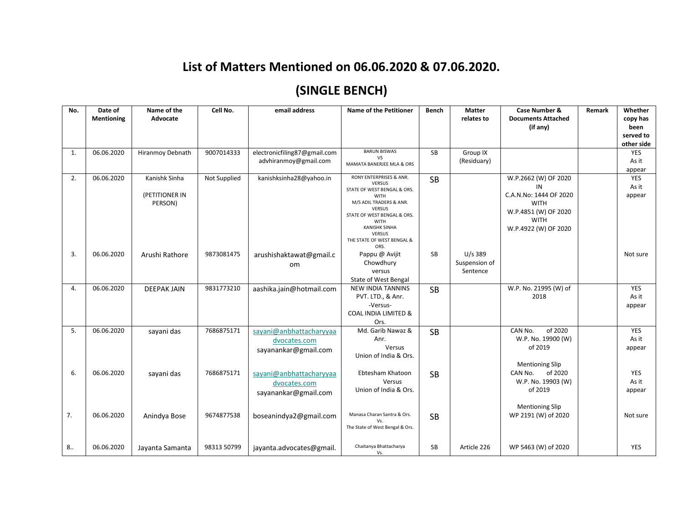## **List of Matters Mentioned on 06.06.2020 & 07.06.2020.**

## **(SINGLE BENCH)**

| No. | Date of<br><b>Mentioning</b> | Name of the<br>Advocate                    | Cell No.     | email address                                                   | Name of the Petitioner                                                                                                                                                                                                                                          | <b>Bench</b> | <b>Matter</b><br>relates to            | Case Number &<br><b>Documents Attached</b><br>(if any)                                                                             | Remark | Whether<br>copy has<br>been<br>served to<br>other side |
|-----|------------------------------|--------------------------------------------|--------------|-----------------------------------------------------------------|-----------------------------------------------------------------------------------------------------------------------------------------------------------------------------------------------------------------------------------------------------------------|--------------|----------------------------------------|------------------------------------------------------------------------------------------------------------------------------------|--------|--------------------------------------------------------|
| 1.  | 06.06.2020                   | Hiranmoy Debnath                           | 9007014333   | electronicfiling87@gmail.com<br>advhiranmoy@gmail.com           | <b>BARUN BISWAS</b><br><b>VS</b><br>MAMATA BANERJEE MLA & ORS                                                                                                                                                                                                   | <b>SB</b>    | Group IX<br>(Residuary)                |                                                                                                                                    |        | YES<br>As it<br>appear                                 |
| 2.  | 06.06.2020                   | Kanishk Sinha<br>(PETITIONER IN<br>PERSON) | Not Supplied | kanishksinha28@yahoo.in                                         | RONY ENTERPRISES & ANR.<br><b>VERSUS</b><br>STATE OF WEST BENGAL & ORS.<br><b>WITH</b><br>M/S ADIL TRADERS & ANR.<br><b>VERSUS</b><br>STATE OF WEST BENGAL & ORS.<br><b>WITH</b><br><b>KANISHK SINHA</b><br><b>VERSUS</b><br>THE STATE OF WEST BENGAL &<br>ORS. | <b>SB</b>    |                                        | W.P.2662 (W) OF 2020<br>ΙN<br>C.A.N.No: 1444 OF 2020<br><b>WITH</b><br>W.P.4851 (W) OF 2020<br><b>WITH</b><br>W.P.4922 (W) OF 2020 |        | YES<br>As it<br>appear                                 |
| 3.  | 06.06.2020                   | Arushi Rathore                             | 9873081475   | arushishaktawat@gmail.c<br>om                                   | Pappu @ Avijit<br>Chowdhury<br>versus<br>State of West Bengal                                                                                                                                                                                                   | <b>SB</b>    | $U/s$ 389<br>Suspension of<br>Sentence |                                                                                                                                    |        | Not sure                                               |
| 4.  | 06.06.2020                   | <b>DEEPAK JAIN</b>                         | 9831773210   | aashika.jain@hotmail.com                                        | <b>NEW INDIA TANNINS</b><br>PVT. LTD., & Anr.<br>-Versus-<br><b>COAL INDIA LIMITED &amp;</b><br>Ors.                                                                                                                                                            | <b>SB</b>    |                                        | W.P. No. 21995 (W) of<br>2018                                                                                                      |        | YES<br>As it<br>appear                                 |
| 5.  | 06.06.2020                   | sayani das                                 | 7686875171   | sayani@anbhattacharyyaa<br>dvocates.com<br>sayanankar@gmail.com | Md. Garib Nawaz &<br>Anr.<br>Versus<br>Union of India & Ors.                                                                                                                                                                                                    | <b>SB</b>    |                                        | of 2020<br>CAN No.<br>W.P. No. 19900 (W)<br>of 2019<br><b>Mentioning Slip</b>                                                      |        | YES<br>As it<br>appear                                 |
| 6.  | 06.06.2020                   | sayani das                                 | 7686875171   | sayani@anbhattacharyyaa<br>dvocates.com<br>sayanankar@gmail.com | Ebtesham Khatoon<br>Versus<br>Union of India & Ors.                                                                                                                                                                                                             | <b>SB</b>    |                                        | of 2020<br>CAN No.<br>W.P. No. 19903 (W)<br>of 2019                                                                                |        | YES<br>As it<br>appear                                 |
| 7.  | 06.06.2020                   | Anindya Bose                               | 9674877538   | boseanindya2@gmail.com                                          | Manasa Charan Santra & Ors.<br>The State of West Bengal & Ors.                                                                                                                                                                                                  | <b>SB</b>    |                                        | <b>Mentioning Slip</b><br>WP 2191 (W) of 2020                                                                                      |        | Not sure                                               |
| 8.  | 06.06.2020                   | Jayanta Samanta                            | 98313 50799  | jayanta.advocates@gmail.                                        | Chaitanya Bhattacharya<br>Vs.                                                                                                                                                                                                                                   | <b>SB</b>    | Article 226                            | WP 5463 (W) of 2020                                                                                                                |        | <b>YES</b>                                             |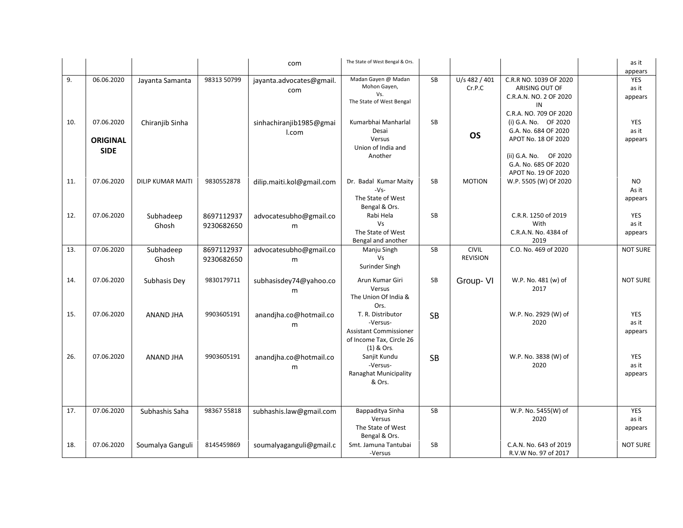|     |                 |                          |             | com                       | The State of West Bengal & Ors. |           |                 |                        | as it           |
|-----|-----------------|--------------------------|-------------|---------------------------|---------------------------------|-----------|-----------------|------------------------|-----------------|
|     |                 |                          |             |                           |                                 |           |                 |                        | appears         |
| 9.  | 06.06.2020      |                          | 98313 50799 |                           | Madan Gayen @ Madan             | <b>SB</b> | U/s 482 / 401   | C.R.R NO. 1039 OF 2020 | YES             |
|     |                 | Jayanta Samanta          |             | jayanta.advocates@gmail.  | Mohon Gayen,                    |           | Cr.P.C          | ARISING OUT OF         | as it           |
|     |                 |                          |             | com                       | Vs.                             |           |                 |                        |                 |
|     |                 |                          |             |                           | The State of West Bengal        |           |                 | C.R.A.N. NO. 2 OF 2020 | appears         |
|     |                 |                          |             |                           |                                 |           |                 | IN                     |                 |
|     |                 |                          |             |                           |                                 |           |                 | C.R.A. NO. 709 OF 2020 |                 |
| 10. | 07.06.2020      | Chiranjib Sinha          |             | sinhachiranjib1985@gmai   | Kumarbhai Manharlal             | <b>SB</b> |                 | (i) G.A. No.  OF 2020  | YES             |
|     |                 |                          |             | I.com                     | Desai                           |           | <b>OS</b>       | G.A. No. 684 OF 2020   | as it           |
|     | <b>ORIGINAL</b> |                          |             |                           | Versus                          |           |                 | APOT No. 18 OF 2020    | appears         |
|     | <b>SIDE</b>     |                          |             |                           | Union of India and              |           |                 |                        |                 |
|     |                 |                          |             |                           | Another                         |           |                 | (ii) G.A. No.  OF 2020 |                 |
|     |                 |                          |             |                           |                                 |           |                 | G.A. No. 685 OF 2020   |                 |
|     |                 |                          |             |                           |                                 |           |                 | APOT No. 19 OF 2020    |                 |
| 11. | 07.06.2020      | <b>DILIP KUMAR MAITI</b> | 9830552878  | dilip.maiti.kol@gmail.com | Dr. Badal Kumar Maity           | <b>SB</b> | <b>MOTION</b>   | W.P. 5505 (W) Of 2020  | <b>NO</b>       |
|     |                 |                          |             |                           | $-Vs-$                          |           |                 |                        | As it           |
|     |                 |                          |             |                           | The State of West               |           |                 |                        | appears         |
|     |                 |                          |             |                           | Bengal & Ors.                   |           |                 |                        |                 |
| 12. | 07.06.2020      | Subhadeep                | 8697112937  | advocatesubho@gmail.co    | Rabi Hela                       | <b>SB</b> |                 | C.R.R. 1250 of 2019    | YES             |
|     |                 | Ghosh                    | 9230682650  | m                         | Vs                              |           |                 | With                   | as it           |
|     |                 |                          |             |                           | The State of West               |           |                 | C.R.A.N. No. 4384 of   | appears         |
|     |                 |                          |             |                           | Bengal and another              |           |                 | 2019                   |                 |
| 13. | 07.06.2020      | Subhadeep                | 8697112937  | advocatesubho@gmail.co    | Manju Singh                     | <b>SB</b> | <b>CIVIL</b>    | C.O. No. 469 of 2020   | <b>NOT SURE</b> |
|     |                 | Ghosh                    | 9230682650  |                           | <b>Vs</b>                       |           | <b>REVISION</b> |                        |                 |
|     |                 |                          |             | m                         | Surinder Singh                  |           |                 |                        |                 |
|     |                 |                          |             |                           |                                 |           |                 |                        |                 |
| 14. | 07.06.2020      | Subhasis Dey             | 9830179711  | subhasisdey74@yahoo.co    | Arun Kumar Giri                 | SB        | Group-VI        | W.P. No. 481 (w) of    | <b>NOT SURE</b> |
|     |                 |                          |             | m                         | Versus                          |           |                 | 2017                   |                 |
|     |                 |                          |             |                           | The Union Of India &            |           |                 |                        |                 |
|     |                 |                          |             |                           | Ors.                            |           |                 |                        |                 |
| 15. | 07.06.2020      | ANAND JHA                | 9903605191  | anandjha.co@hotmail.co    | T. R. Distributor               | <b>SB</b> |                 | W.P. No. 2929 (W) of   | <b>YES</b>      |
|     |                 |                          |             | m                         | -Versus-                        |           |                 | 2020                   | as it           |
|     |                 |                          |             |                           | Assistant Commissioner          |           |                 |                        | appears         |
|     |                 |                          |             |                           | of Income Tax, Circle 26        |           |                 |                        |                 |
|     |                 |                          |             |                           | $(1)$ & Ors.                    |           |                 |                        |                 |
| 26. | 07.06.2020      | ANAND JHA                | 9903605191  | anandjha.co@hotmail.co    | Sanjit Kundu                    | <b>SB</b> |                 | W.P. No. 3838 (W) of   | YES             |
|     |                 |                          |             | m                         | -Versus-                        |           |                 | 2020                   | as it           |
|     |                 |                          |             |                           | <b>Ranaghat Municipality</b>    |           |                 |                        | appears         |
|     |                 |                          |             |                           | & Ors.                          |           |                 |                        |                 |
|     |                 |                          |             |                           |                                 |           |                 |                        |                 |
|     |                 |                          |             |                           |                                 |           |                 |                        |                 |
|     |                 |                          |             |                           |                                 |           |                 |                        |                 |
| 17. | 07.06.2020      | Subhashis Saha           | 98367 55818 | subhashis.law@gmail.com   | Bappaditya Sinha                | SB        |                 | W.P. No. 5455(W) of    | YES             |
|     |                 |                          |             |                           | Versus                          |           |                 | 2020                   | as it           |
|     |                 |                          |             |                           | The State of West               |           |                 |                        | appears         |
|     |                 |                          |             |                           | Bengal & Ors.                   |           |                 |                        |                 |
| 18. | 07.06.2020      | Soumalya Ganguli         | 8145459869  | soumalyaganguli@gmail.c   | Smt. Jamuna Tantubai            | SB        |                 | C.A.N. No. 643 of 2019 | <b>NOT SURE</b> |
|     |                 |                          |             |                           | -Versus                         |           |                 | R.V.W No. 97 of 2017   |                 |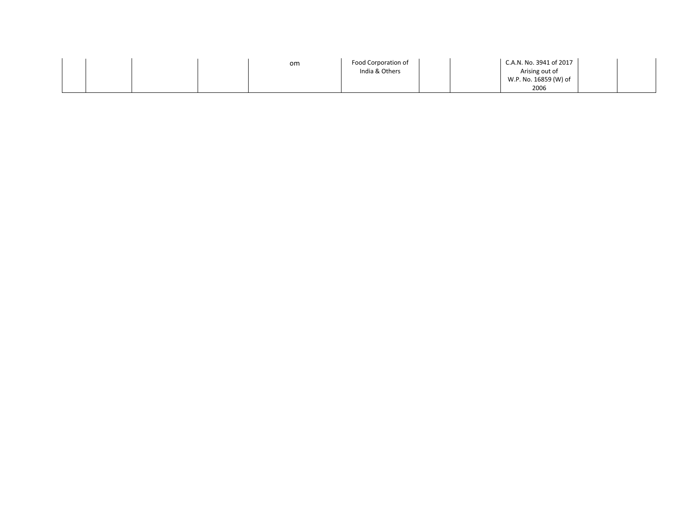| om | Food Corporation of | C.A.N. No. 3941 of 2017 |  |
|----|---------------------|-------------------------|--|
|    | India & Others      | Arising out of          |  |
|    |                     | W.P. No. 16859 (W) of   |  |
|    |                     | 2006                    |  |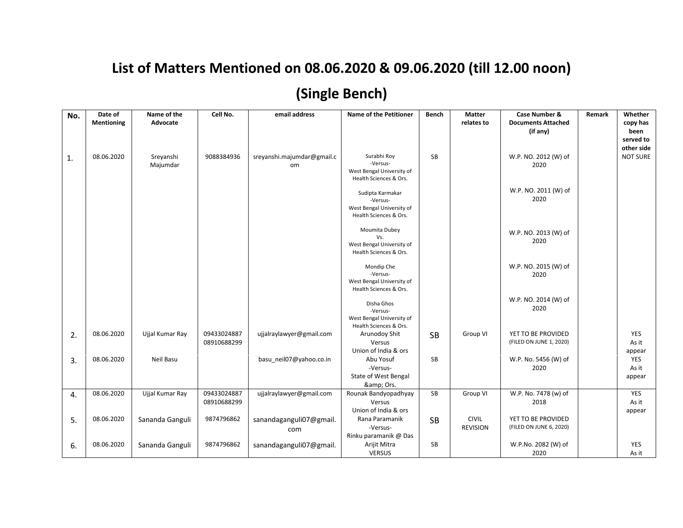## **List of Matters Mentioned on 08.06.2020 & 09.06.2020 (till 12.00 noon)**

## **(Single Bench)**

| No. | Date of<br><b>Mentioning</b> | Name of the<br>Advocate | Cell No.                   | email address                    | <b>Name of the Petitioner</b>                                                       | <b>Bench</b> | <b>Matter</b><br>relates to     | <b>Case Number &amp;</b><br><b>Documents Attached</b><br>(if any) | Remark | Whether<br>copy has<br>been<br>served to<br>other side |
|-----|------------------------------|-------------------------|----------------------------|----------------------------------|-------------------------------------------------------------------------------------|--------------|---------------------------------|-------------------------------------------------------------------|--------|--------------------------------------------------------|
| 1.  | 08.06.2020                   | Sreyanshi<br>Majumdar   | 9088384936                 | sreyanshi.majumdar@gmail.c<br>om | Surabhi Roy<br>-Versus-<br>West Bengal University of<br>Health Sciences & Ors.      | SB           |                                 | W.P. NO. 2012 (W) of<br>2020                                      |        | <b>NOT SURE</b>                                        |
|     |                              |                         |                            |                                  | Sudipta Karmakar<br>-Versus-<br>West Bengal University of<br>Health Sciences & Ors. |              |                                 | W.P. NO. 2011 (W) of<br>2020                                      |        |                                                        |
|     |                              |                         |                            |                                  | Moumita Dubey<br>Vs.<br>West Bengal University of<br>Health Sciences & Ors.         |              |                                 | W.P. NO. 2013 (W) of<br>2020                                      |        |                                                        |
|     |                              |                         |                            |                                  | Mondip Che<br>-Versus-<br>West Bengal University of<br>Health Sciences & Ors.       |              |                                 | W.P. NO. 2015 (W) of<br>2020                                      |        |                                                        |
|     |                              |                         |                            |                                  | Disha Ghos<br>-Versus-<br>West Bengal University of<br>Health Sciences & Ors.       |              |                                 | W.P. NO. 2014 (W) of<br>2020                                      |        |                                                        |
| 2.  | 08.06.2020                   | Ujjal Kumar Ray         | 09433024887<br>08910688299 | ujjalraylawyer@gmail.com         | Arunodoy Shit<br>Versus<br>Union of India & ors                                     | <b>SB</b>    | Group VI                        | YET TO BE PROVIDED<br>(FILED ON JUNE 1, 2020)                     |        | YES<br>As it<br>appear                                 |
| 3.  | 08.06.2020                   | Neil Basu               |                            | basu neil07@yahoo.co.in          | Abu Yosuf<br>-Versus-<br>State of West Bengal<br>& Ors.                             | <b>SB</b>    |                                 | W.P. No. 5456 (W) of<br>2020                                      |        | YES<br>As it<br>appear                                 |
| 4.  | 08.06.2020                   | Ujjal Kumar Ray         | 09433024887<br>08910688299 | ujjalraylawyer@gmail.com         | Rounak Bandyopadhyay<br>Versus<br>Union of India & ors                              | SB           | Group VI                        | W.P. No. 7478 (w) of<br>2018                                      |        | YES<br>As it<br>appear                                 |
| 5.  | 08.06.2020                   | Sananda Ganguli         | 9874796862                 | sanandaganguli07@gmail.<br>com   | Rana Paramanik<br>-Versus-<br>Rinku paramanik @ Das                                 | <b>SB</b>    | <b>CIVIL</b><br><b>REVISION</b> | YET TO BE PROVIDED<br>(FILED ON JUNE 6, 2020)                     |        |                                                        |
| 6.  | 08.06.2020                   | Sananda Ganguli         | 9874796862                 | sanandaganguli07@gmail.          | Arijit Mitra<br><b>VERSUS</b>                                                       | SB           |                                 | W.P.No. 2082 (W) of<br>2020                                       |        | YES<br>As it                                           |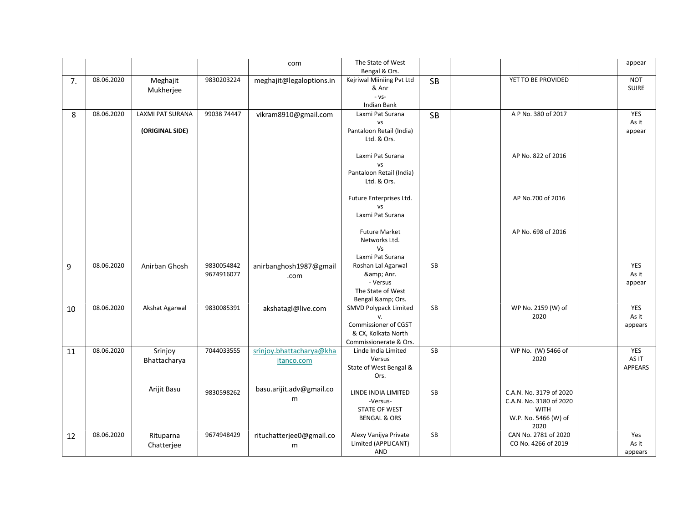|    |            |                       |                          | com                            | The State of West<br>Bengal & Ors.            |           |                                             | appear                     |
|----|------------|-----------------------|--------------------------|--------------------------------|-----------------------------------------------|-----------|---------------------------------------------|----------------------------|
| 7. | 08.06.2020 | Meghajit<br>Mukherjee | 9830203224               | meghajit@legaloptions.in       | Kejriwal Miiniing Pvt Ltd<br>& Anr            | <b>SB</b> | YET TO BE PROVIDED                          | <b>NOT</b><br><b>SUIRE</b> |
|    |            |                       |                          |                                | $-VS-$<br>Indian Bank                         |           |                                             |                            |
| 8  | 08.06.2020 | LAXMI PAT SURANA      | 99038 74447              | vikram8910@gmail.com           | Laxmi Pat Surana                              | <b>SB</b> | A P No. 380 of 2017                         | YES                        |
|    |            |                       |                          |                                | <b>VS</b>                                     |           |                                             | As it                      |
|    |            | (ORIGINAL SIDE)       |                          |                                | Pantaloon Retail (India)<br>Ltd. & Ors.       |           |                                             | appear                     |
|    |            |                       |                          |                                | Laxmi Pat Surana<br><b>VS</b>                 |           | AP No. 822 of 2016                          |                            |
|    |            |                       |                          |                                | Pantaloon Retail (India)                      |           |                                             |                            |
|    |            |                       |                          |                                | Ltd. & Ors.                                   |           |                                             |                            |
|    |            |                       |                          |                                | Future Enterprises Ltd.<br><b>VS</b>          |           | AP No.700 of 2016                           |                            |
|    |            |                       |                          |                                | Laxmi Pat Surana                              |           |                                             |                            |
|    |            |                       |                          |                                |                                               |           |                                             |                            |
|    |            |                       |                          |                                | <b>Future Market</b><br>Networks Ltd.         |           | AP No. 698 of 2016                          |                            |
|    |            |                       |                          |                                | Vs                                            |           |                                             |                            |
|    |            |                       |                          |                                | Laxmi Pat Surana                              | <b>SB</b> |                                             |                            |
| 9  | 08.06.2020 | Anirban Ghosh         | 9830054842<br>9674916077 | anirbanghosh1987@gmail<br>.com | Roshan Lal Agarwal<br>& Anr.                  |           |                                             | YES<br>As it               |
|    |            |                       |                          |                                | - Versus                                      |           |                                             | appear                     |
|    |            |                       |                          |                                | The State of West                             |           |                                             |                            |
| 10 | 08.06.2020 | Akshat Agarwal        | 9830085391               | akshatagl@live.com             | Bengal & Ors.<br>SMVD Polypack Limited        | <b>SB</b> | WP No. 2159 (W) of                          | YES                        |
|    |            |                       |                          |                                | v.                                            |           | 2020                                        | As it                      |
|    |            |                       |                          |                                | Commissioner of CGST                          |           |                                             | appears                    |
|    |            |                       |                          |                                | & CX, Kolkata North<br>Commissionerate & Ors. |           |                                             |                            |
| 11 | 08.06.2020 | Srinjoy               | 7044033555               | srinjoy.bhattacharya@kha       | Linde India Limited                           | <b>SB</b> | WP No. (W) 5466 of                          | <b>YES</b>                 |
|    |            | Bhattacharya          |                          | itanco.com                     | Versus                                        |           | 2020                                        | AS IT                      |
|    |            |                       |                          |                                | State of West Bengal &<br>Ors.                |           |                                             | APPEARS                    |
|    |            | Arijit Basu           |                          | basu.arijit.adv@gmail.co       |                                               |           |                                             |                            |
|    |            |                       | 9830598262               | m                              | LINDE INDIA LIMITED                           | SB        | C.A.N. No. 3179 of 2020                     |                            |
|    |            |                       |                          |                                | -Versus-<br>STATE OF WEST                     |           | C.A.N. No. 3180 of 2020<br><b>WITH</b>      |                            |
|    |            |                       |                          |                                | <b>BENGAL &amp; ORS</b>                       |           | W.P. No. 5466 (W) of                        |                            |
|    |            |                       |                          |                                |                                               |           | 2020                                        |                            |
| 12 | 08.06.2020 | Rituparna             | 9674948429               | rituchatterjee0@gmail.co       | Alexy Vanijya Private<br>Limited (APPLICANT)  | <b>SB</b> | CAN No. 2781 of 2020<br>CO No. 4266 of 2019 | Yes<br>As it               |
|    |            | Chatterjee            |                          | m                              | AND                                           |           |                                             | appears                    |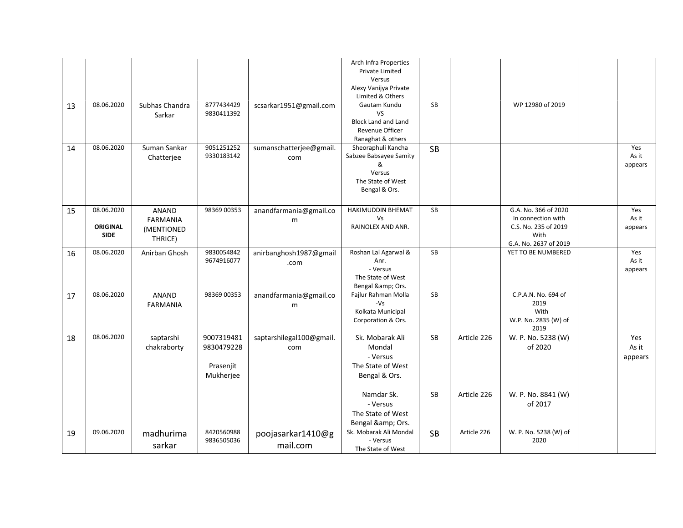| 13 | 08.06.2020                                   | Subhas Chandra<br>Sarkar                                 | 8777434429<br>9830411392                           | scsarkar1951@gmail.com          | Arch Infra Properties<br>Private Limited<br>Versus<br>Alexy Vanijya Private<br>Limited & Others<br>Gautam Kundu<br>VS.<br><b>Block Land and Land</b><br>Revenue Officer<br>Ranaghat & others | <b>SB</b> |             | WP 12980 of 2019                                                                                    |                         |
|----|----------------------------------------------|----------------------------------------------------------|----------------------------------------------------|---------------------------------|----------------------------------------------------------------------------------------------------------------------------------------------------------------------------------------------|-----------|-------------|-----------------------------------------------------------------------------------------------------|-------------------------|
| 14 | 08.06.2020                                   | Suman Sankar<br>Chatteriee                               | 9051251252<br>9330183142                           | sumanschatterjee@gmail.<br>com  | Sheoraphuli Kancha<br>Sabzee Babsayee Samity<br>&<br>Versus<br>The State of West<br>Bengal & Ors.                                                                                            | <b>SB</b> |             |                                                                                                     | Yes<br>As it<br>appears |
| 15 | 08.06.2020<br><b>ORIGINAL</b><br><b>SIDE</b> | <b>ANAND</b><br><b>FARMANIA</b><br>(MENTIONED<br>THRICE) | 98369 00353                                        | anandfarmania@gmail.co<br>m     | HAKIMUDDIN BHEMAT<br>Vs<br>RAINOLEX AND ANR.                                                                                                                                                 | SB        |             | G.A. No. 366 of 2020<br>In connection with<br>C.S. No. 235 of 2019<br>With<br>G.A. No. 2637 of 2019 | Yes<br>As it<br>appears |
| 16 | 08.06.2020                                   | Anirban Ghosh                                            | 9830054842<br>9674916077                           | anirbanghosh1987@gmail<br>.com  | Roshan Lal Agarwal &<br>Anr.<br>- Versus<br>The State of West<br>Bengal & Ors.                                                                                                               | <b>SB</b> |             | YET TO BE NUMBERED                                                                                  | Yes<br>As it<br>appears |
| 17 | 08.06.2020                                   | <b>ANAND</b><br><b>FARMANIA</b>                          | 98369 00353                                        | anandfarmania@gmail.co<br>m     | Fajlur Rahman Molla<br>$-Vs$<br>Kolkata Municipal<br>Corporation & Ors.                                                                                                                      | <b>SB</b> |             | C.P.A.N. No. 694 of<br>2019<br>With<br>W.P. No. 2835 (W) of<br>2019                                 |                         |
| 18 | 08.06.2020                                   | saptarshi<br>chakraborty                                 | 9007319481<br>9830479228<br>Prasenjit<br>Mukherjee | saptarshilegal100@gmail.<br>com | Sk. Mobarak Ali<br>Mondal<br>- Versus<br>The State of West<br>Bengal & Ors.                                                                                                                  | <b>SB</b> | Article 226 | W. P. No. 5238 (W)<br>of 2020                                                                       | Yes<br>As it<br>appears |
|    |                                              |                                                          |                                                    |                                 | Namdar Sk.<br>- Versus<br>The State of West<br>Bengal & Ors.                                                                                                                                 | <b>SB</b> | Article 226 | W. P. No. 8841 (W)<br>of 2017                                                                       |                         |
| 19 | 09.06.2020                                   | madhurima<br>sarkar                                      | 8420560988<br>9836505036                           | poojasarkar1410@g<br>mail.com   | Sk. Mobarak Ali Mondal<br>- Versus<br>The State of West                                                                                                                                      | <b>SB</b> | Article 226 | W. P. No. 5238 (W) of<br>2020                                                                       |                         |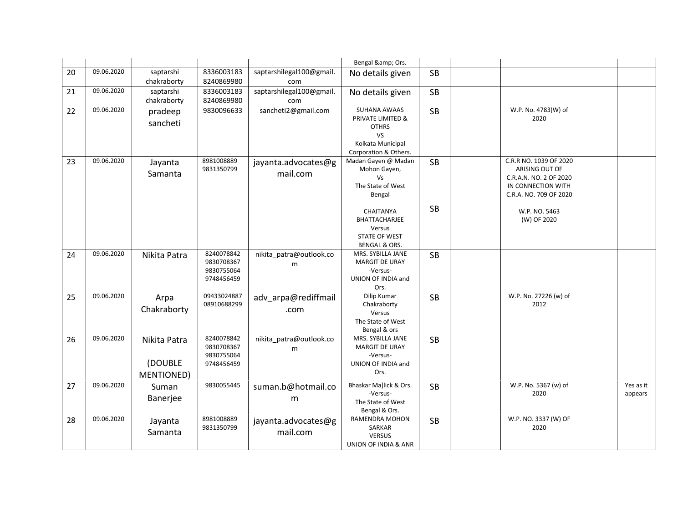|    |            |                                              |                                                      |                                 | Bengal & Ors.                                                                                         |           |                                                                                                                    |                      |
|----|------------|----------------------------------------------|------------------------------------------------------|---------------------------------|-------------------------------------------------------------------------------------------------------|-----------|--------------------------------------------------------------------------------------------------------------------|----------------------|
| 20 | 09.06.2020 | saptarshi<br>chakraborty                     | 8336003183<br>8240869980                             | saptarshilegal100@gmail.<br>com | No details given                                                                                      | <b>SB</b> |                                                                                                                    |                      |
| 21 | 09.06.2020 | saptarshi<br>chakraborty                     | 8336003183<br>8240869980                             | saptarshilegal100@gmail.<br>com | No details given                                                                                      | <b>SB</b> |                                                                                                                    |                      |
| 22 | 09.06.2020 | pradeep<br>sancheti                          | 9830096633                                           | sancheti2@gmail.com             | SUHANA AWAAS<br>PRIVATE LIMITED &<br><b>OTHRS</b><br>VS<br>Kolkata Municipal<br>Corporation & Others. | <b>SB</b> | W.P. No. 4783(W) of<br>2020                                                                                        |                      |
| 23 | 09.06.2020 | Jayanta<br>Samanta                           | 8981008889<br>9831350799                             | jayanta.advocates@g<br>mail.com | Madan Gayen @ Madan<br>Mohon Gayen,<br>Vs<br>The State of West<br>Bengal                              | <b>SB</b> | C.R.R NO. 1039 OF 2020<br>ARISING OUT OF<br>C.R.A.N. NO. 2 OF 2020<br>IN CONNECTION WITH<br>C.R.A. NO. 709 OF 2020 |                      |
|    |            |                                              |                                                      |                                 | CHAITANYA<br>BHATTACHARJEE<br>Versus<br><b>STATE OF WEST</b><br><b>BENGAL &amp; ORS.</b>              | <b>SB</b> | W.P. NO. 5463<br>(W) OF 2020                                                                                       |                      |
| 24 | 09.06.2020 | Nikita Patra                                 | 8240078842<br>9830708367<br>9830755064<br>9748456459 | nikita_patra@outlook.co<br>m    | MRS. SYBILLA JANE<br><b>MARGIT DE URAY</b><br>-Versus-<br>UNION OF INDIA and<br>Ors.                  | <b>SB</b> |                                                                                                                    |                      |
| 25 | 09.06.2020 | Arpa<br>Chakraborty                          | 09433024887<br>08910688299                           | adv_arpa@rediffmail<br>.com     | Dilip Kumar<br>Chakraborty<br>Versus<br>The State of West<br>Bengal & ors                             | <b>SB</b> | W.P. No. 27226 (w) of<br>2012                                                                                      |                      |
| 26 | 09.06.2020 | Nikita Patra<br>(DOUBLE<br><b>MENTIONED)</b> | 8240078842<br>9830708367<br>9830755064<br>9748456459 | nikita_patra@outlook.co<br>m    | MRS. SYBILLA JANE<br>MARGIT DE URAY<br>-Versus-<br>UNION OF INDIA and<br>Ors.                         | <b>SB</b> |                                                                                                                    |                      |
| 27 | 09.06.2020 | Suman<br>Banerjee                            | 9830055445                                           | suman.b@hotmail.co<br>m         | Bhaskar Ma]lick & Ors.<br>-Versus-<br>The State of West<br>Bengal & Ors.                              | <b>SB</b> | W.P. No. 5367 (w) of<br>2020                                                                                       | Yes as it<br>appears |
| 28 | 09.06.2020 | Jayanta<br>Samanta                           | 8981008889<br>9831350799                             | jayanta.advocates@g<br>mail.com | RAMENDRA MOHON<br>SARKAR<br>VERSUS<br>UNION OF INDIA & ANR                                            | <b>SB</b> | W.P. NO. 3337 (W) OF<br>2020                                                                                       |                      |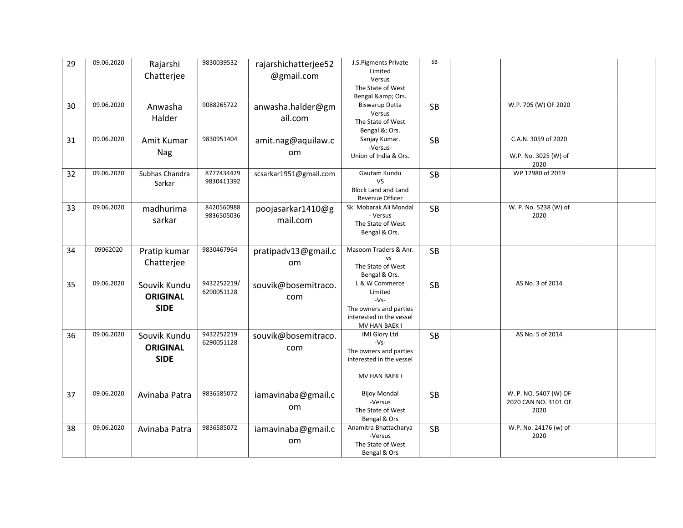| 29 | 09.06.2020 | Rajarshi<br>Chatterjee          | 9830039532                | rajarshichatterjee52<br>@gmail.com | J.S.Pigments Private<br>Limited<br>Versus                                | SB        |                                               |  |
|----|------------|---------------------------------|---------------------------|------------------------------------|--------------------------------------------------------------------------|-----------|-----------------------------------------------|--|
|    |            |                                 |                           |                                    | The State of West<br>Bengal & Ors.                                       |           |                                               |  |
| 30 | 09.06.2020 | Anwasha<br>Halder               | 9088265722                | anwasha.halder@gm<br>ail.com       | <b>Biswarup Dutta</b><br>Versus<br>The State of West<br>Bengal &; Ors.   | <b>SB</b> | W.P. 705 (W) OF 2020                          |  |
| 31 | 09.06.2020 | Amit Kumar                      | 9830951404                | amit.nag@aquilaw.c                 | Sanjay Kumar.<br>-Versus-                                                | <b>SB</b> | C.A.N. 3059 of 2020                           |  |
|    |            | Nag                             |                           | om                                 | Union of India & Ors.                                                    |           | W.P. No. 3025 (W) of<br>2020                  |  |
| 32 | 09.06.2020 | Subhas Chandra<br>Sarkar        | 8777434429<br>9830411392  | scsarkar1951@gmail.com             | Gautam Kundu<br><b>VS</b>                                                | <b>SB</b> | WP 12980 of 2019                              |  |
|    |            |                                 |                           |                                    | <b>Block Land and Land</b><br><b>Revenue Officer</b>                     |           |                                               |  |
| 33 | 09.06.2020 | madhurima<br>sarkar             | 8420560988<br>9836505036  | poojasarkar1410@g<br>mail.com      | Sk. Mobarak Ali Mondal<br>- Versus<br>The State of West<br>Bengal & Ors. | <b>SB</b> | W. P. No. 5238 (W) of<br>2020                 |  |
| 34 | 09062020   | Pratip kumar                    | 9830467964                | pratipadv13@gmail.c                | Masoom Traders & Anr.                                                    | <b>SB</b> |                                               |  |
|    |            | Chatterjee                      |                           | om                                 | <b>VS</b><br>The State of West<br>Bengal & Ors.                          |           |                                               |  |
| 35 | 09.06.2020 | Souvik Kundu<br><b>ORIGINAL</b> | 9432252219/<br>6290051128 | souvik@bosemitraco.<br>com         | L & W Commerce<br>Limited<br>$-Vs-$                                      | <b>SB</b> | AS No. 3 of 2014                              |  |
|    |            | <b>SIDE</b>                     |                           |                                    | The owners and parties<br>interested in the vessel<br>MV HAN BAEK I      |           |                                               |  |
| 36 | 09.06.2020 | Souvik Kundu                    | 9432252219                | souvik@bosemitraco.                | <b>IMI Glory Ltd</b>                                                     | <b>SB</b> | AS No. 5 of 2014                              |  |
|    |            | <b>ORIGINAL</b><br><b>SIDE</b>  | 6290051128                | com                                | $-Vs-$<br>The owners and parties<br>interested in the vessel             |           |                                               |  |
|    |            |                                 |                           |                                    | MV HAN BAEK I                                                            |           |                                               |  |
| 37 | 09.06.2020 | Avinaba Patra                   | 9836585072                | iamavinaba@gmail.c<br>om           | <b>Bijoy Mondal</b><br>-Versus                                           | <b>SB</b> | W. P. NO. 5407 (W) OF<br>2020 CAN NO. 3101 OF |  |
|    |            |                                 |                           |                                    | The State of West<br>Bengal & Ors                                        |           | 2020                                          |  |
| 38 | 09.06.2020 | Avinaba Patra                   | 9836585072                | iamavinaba@gmail.c<br>om           | Anamitra Bhattacharya<br>-Versus<br>The State of West                    | <b>SB</b> | W.P. No. 24176 (w) of<br>2020                 |  |
|    |            |                                 |                           |                                    | Bengal & Ors                                                             |           |                                               |  |